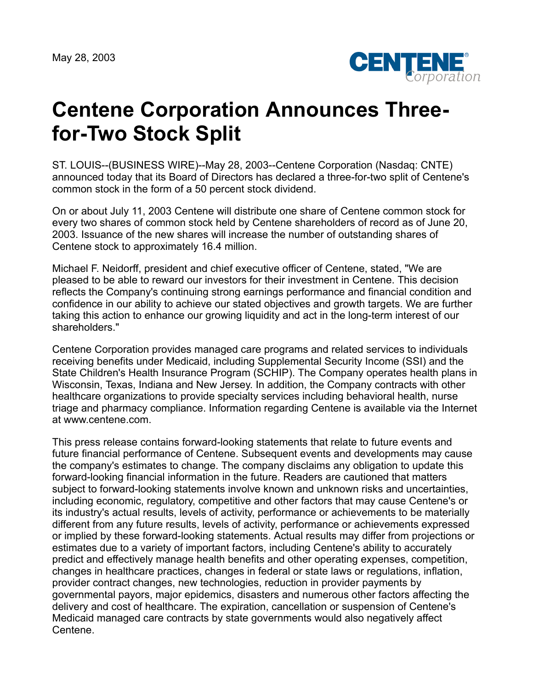May 28, 2003



## **Centene Corporation Announces Threefor-Two Stock Split**

ST. LOUIS--(BUSINESS WIRE)--May 28, 2003--Centene Corporation (Nasdaq: CNTE) announced today that its Board of Directors has declared a three-for-two split of Centene's common stock in the form of a 50 percent stock dividend.

On or about July 11, 2003 Centene will distribute one share of Centene common stock for every two shares of common stock held by Centene shareholders of record as of June 20, 2003. Issuance of the new shares will increase the number of outstanding shares of Centene stock to approximately 16.4 million.

Michael F. Neidorff, president and chief executive officer of Centene, stated, "We are pleased to be able to reward our investors for their investment in Centene. This decision reflects the Company's continuing strong earnings performance and financial condition and confidence in our ability to achieve our stated objectives and growth targets. We are further taking this action to enhance our growing liquidity and act in the long-term interest of our shareholders."

Centene Corporation provides managed care programs and related services to individuals receiving benefits under Medicaid, including Supplemental Security Income (SSI) and the State Children's Health Insurance Program (SCHIP). The Company operates health plans in Wisconsin, Texas, Indiana and New Jersey. In addition, the Company contracts with other healthcare organizations to provide specialty services including behavioral health, nurse triage and pharmacy compliance. Information regarding Centene is available via the Internet at www.centene.com.

This press release contains forward-looking statements that relate to future events and future financial performance of Centene. Subsequent events and developments may cause the company's estimates to change. The company disclaims any obligation to update this forward-looking financial information in the future. Readers are cautioned that matters subject to forward-looking statements involve known and unknown risks and uncertainties, including economic, regulatory, competitive and other factors that may cause Centene's or its industry's actual results, levels of activity, performance or achievements to be materially different from any future results, levels of activity, performance or achievements expressed or implied by these forward-looking statements. Actual results may differ from projections or estimates due to a variety of important factors, including Centene's ability to accurately predict and effectively manage health benefits and other operating expenses, competition, changes in healthcare practices, changes in federal or state laws or regulations, inflation, provider contract changes, new technologies, reduction in provider payments by governmental payors, major epidemics, disasters and numerous other factors affecting the delivery and cost of healthcare. The expiration, cancellation or suspension of Centene's Medicaid managed care contracts by state governments would also negatively affect Centene.